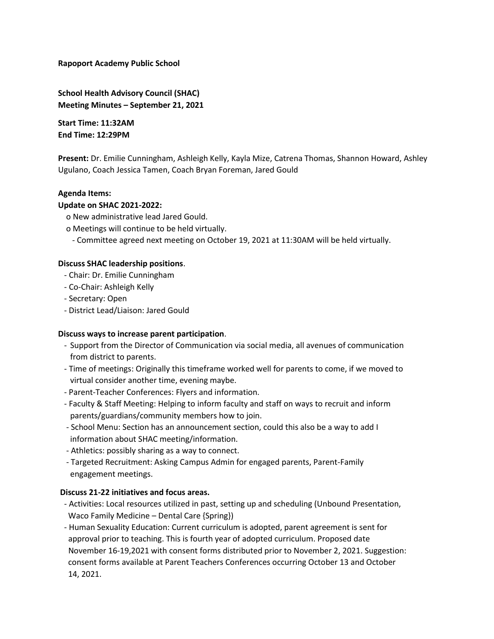**Rapoport Academy Public School** 

**School Health Advisory Council (SHAC) Meeting Minutes – September 21, 2021** 

**Start Time: 11:32AM End Time: 12:29PM**

**Present:** Dr. Emilie Cunningham, Ashleigh Kelly, Kayla Mize, Catrena Thomas, Shannon Howard, Ashley Ugulano, Coach Jessica Tamen, Coach Bryan Foreman, Jared Gould

# **Agenda Items:**

### **Update on SHAC 2021-2022:**

- o New administrative lead Jared Gould.
- o Meetings will continue to be held virtually.
	- Committee agreed next meeting on October 19, 2021 at 11:30AM will be held virtually.

### **Discuss SHAC leadership positions**.

- Chair: Dr. Emilie Cunningham
- Co-Chair: Ashleigh Kelly
- Secretary: Open
- District Lead/Liaison: Jared Gould

#### **Discuss ways to increase parent participation**.

- Support from the Director of Communication via social media, all avenues of communication from district to parents.
- Time of meetings: Originally this timeframe worked well for parents to come, if we moved to virtual consider another time, evening maybe.
- Parent-Teacher Conferences: Flyers and information.
- Faculty & Staff Meeting: Helping to inform faculty and staff on ways to recruit and inform parents/guardians/community members how to join.
- School Menu: Section has an announcement section, could this also be a way to add I information about SHAC meeting/information.
- Athletics: possibly sharing as a way to connect.
- Targeted Recruitment: Asking Campus Admin for engaged parents, Parent-Family engagement meetings.

### **Discuss 21-22 initiatives and focus areas.**

- Activities: Local resources utilized in past, setting up and scheduling (Unbound Presentation, Waco Family Medicine – Dental Care {Spring})
- Human Sexuality Education: Current curriculum is adopted, parent agreement is sent for approval prior to teaching. This is fourth year of adopted curriculum. Proposed date November 16-19,2021 with consent forms distributed prior to November 2, 2021. Suggestion: consent forms available at Parent Teachers Conferences occurring October 13 and October 14, 2021.